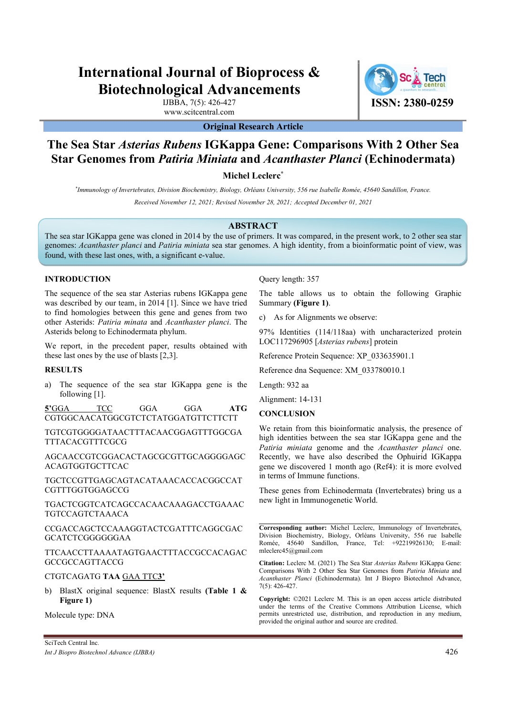# International Journal of Bioprocess & Biotechnological Advancements

IJBBA, 7(5): 426-427 www.scitcentral.com

ISSN: 2380-0259

## Original Research Article

# The Sea Star Asterias Rubens IGKappa Gene: Comparisons With 2 Other Sea Star Genomes from Patiria Miniata and Acanthaster Planci (Echinodermata)

Michel Leclerc<sup>\*</sup>

\* Immunology of Invertebrates, Division Biochemistry, Biology, Orléans University, 556 rue Isabelle Romée, 45640 Sandillon, France.

Received November 12, 2021; Revised November 28, 2021; Accepted December 01, 2021

#### ABSTRACT

The sea star IGKappa gene was cloned in 2014 by the use of primers. It was compared, in the present work, to 2 other sea star genomes: Acanthaster planci and Patiria miniata sea star genomes. A high identity, from a bioinformatic point of view, was found, with these last ones, with, a significant e-value.

#### INTRODUCTION

The sequence of the sea star Asterias rubens IGKappa gene was described by our team, in 2014 [1]. Since we have tried Summary (Figure 1). to find homologies between this gene and genes from two other Asterids: Patiria minata and Acanthaster planci. The Asterids belong to Echinodermata phylum.

We report, in the precedent paper, results obtained with these last ones by the use of blasts [2,3].

#### RESULTS

a) The sequence of the sea star IGKappa gene is the following [1].

5'GGA TCC GGA GGA ATG GONGUNION CGTGGCAACATGGCGTCTCTATGGATGTTCTTCTT

TGTCGTGGGGATAACTTTACAACGGAGTTTGGCGA TTTACACGTTTCGCG

AGCAACCGTCGGACACTAGCGCGTTGCAGGGGAGC ACAGTGGTGCTTCAC

TGCTCCGTTGAGCAGTACATAAACACCACGGCCAT CGTTTGGTGGAGCCG

TGACTCGGTCATCAGCCACAACAAAGACCTGAAAC TGTCCAGTCTAAACA

CCGACCAGCTCCAAAGGTACTCGATTTCAGGCGAC Corresponding author: Michel Leclerc, Immunology of Invertebrates, GCATCTCGGGGGGAA

TTCAACCTTAAAATAGTGAACTTTACCGCCACAGAC GCCGCCAGTTACCG

#### CTGTCAGATG TAA GAA TTC3'

b) BlastX original sequence: BlastX results (Table 1 & Figure 1)

Molecule type: DNA

Query length: 357

The table allows us to obtain the following Graphic

c) As for Alignments we observe:

97% Identities (114/118aa) with uncharacterized protein LOC117296905 [Asterias rubens] protein

Reference Protein Sequence: XP\_033635901.1

Reference dna Sequence: XM\_033780010.1

Length: 932 aa

Alignment: 14-131

### **CONCLUSION**

We retain from this bioinformatic analysis, the presence of high identities between the sea star IGKappa gene and the Patiria miniata genome and the Acanthaster planci one. Recently, we have also described the Ophuirid IGKappa gene we discovered 1 month ago (Ref4): it is more evolved in terms of Immune functions.

These genes from Echinodermata (Invertebrates) bring us a new light in Immunogenetic World.

Division Biochemistry, Biology, Orléans University, 556 rue Isabelle Romée, 45640 Sandillon, France, Tel: +92219926130; E-mail: mleclerc45@gmail.com

Citation: Leclerc M. (2021) The Sea Star Asterias Rubens IGKappa Gene: Comparisons With 2 Other Sea Star Genomes from Patiria Miniata and Acanthaster Planci (Echinodermata). Int J Biopro Biotechnol Advance, 7(5): 426-427.

Copyright: ©2021 Leclerc M. This is an open access article distributed under the terms of the Creative Commons Attribution License, which permits unrestricted use, distribution, and reproduction in any medium, provided the original author and source are credited.